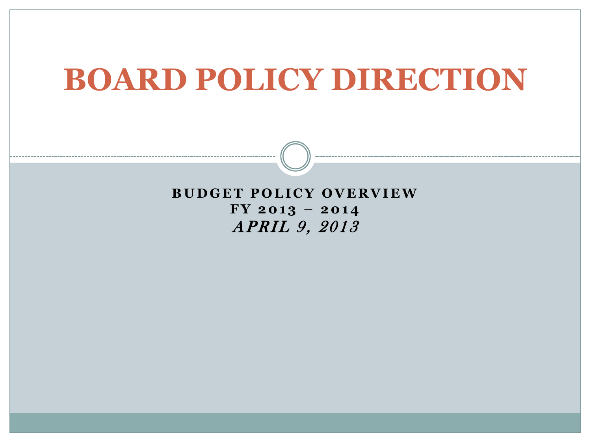## **BOARD POLICY DIRECTION**

**BUDGET POLICY OVERVIEW**  $FY$  2013 - 2014 APRIL 9, 2013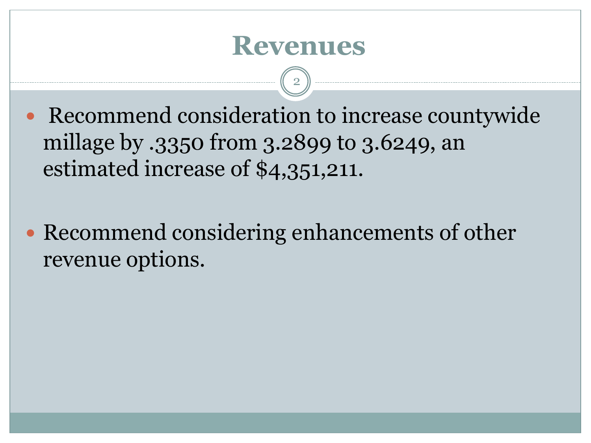### **Revenues**

2

- Recommend consideration to increase countywide millage by .3350 from 3.2899 to 3.6249, an estimated increase of \$4,351,211.
- Recommend considering enhancements of other revenue options.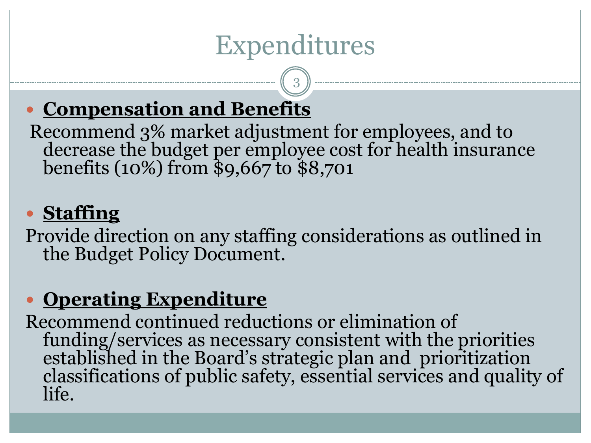## Expenditures

3

#### **Compensation and Benefits**

Recommend 3% market adjustment for employees, and to decrease the budget per employee cost for health insurance benefits (10%) from \$9,667 to \$8,701

#### **Staffing**

Provide direction on any staffing considerations as outlined in the Budget Policy Document.

#### **Operating Expenditure**

Recommend continued reductions or elimination of funding/services as necessary consistent with the priorities established in the Board's strategic plan and prioritization classifications of public safety, essential services and quality of life.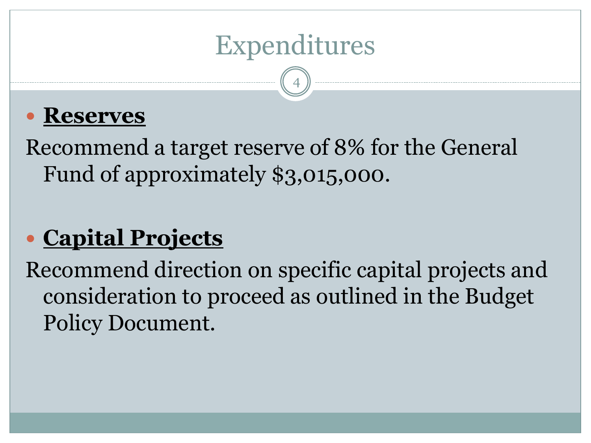

4

#### **Reserves**

Recommend a target reserve of 8% for the General Fund of approximately \$3,015,000.

### **Capital Projects**

Recommend direction on specific capital projects and consideration to proceed as outlined in the Budget Policy Document.